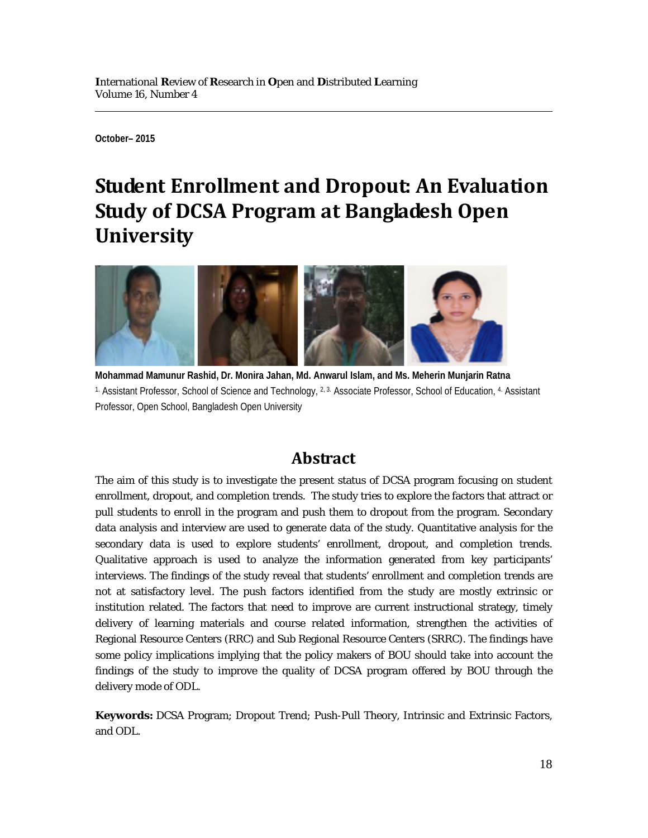**October– 2015**

# **Student Enrollment and Dropout: An Evaluation Study of DCSA Program at Bangladesh Open University**



**Mohammad Mamunur Rashid, Dr. Monira Jahan, Md. Anwarul Islam, and Ms. Meherin Munjarin Ratna**  <sup>1.</sup> Assistant Professor, School of Science and Technology, <sup>2, 3.</sup> Associate Professor, School of Education, <sup>4.</sup> Assistant Professor, Open School, Bangladesh Open University

# **Abstract**

The aim of this study is to investigate the present status of DCSA program focusing on student enrollment, dropout, and completion trends. The study tries to explore the factors that attract or pull students to enroll in the program and push them to dropout from the program. Secondary data analysis and interview are used to generate data of the study. Quantitative analysis for the secondary data is used to explore students' enrollment, dropout, and completion trends. Qualitative approach is used to analyze the information generated from key participants' interviews. The findings of the study reveal that students' enrollment and completion trends are not at satisfactory level. The push factors identified from the study are mostly extrinsic or institution related. The factors that need to improve are current instructional strategy, timely delivery of learning materials and course related information, strengthen the activities of Regional Resource Centers (RRC) and Sub Regional Resource Centers (SRRC). The findings have some policy implications implying that the policy makers of BOU should take into account the findings of the study to improve the quality of DCSA program offered by BOU through the delivery mode of ODL.

**Keywords:** DCSA Program; Dropout Trend; Push-Pull Theory, Intrinsic and Extrinsic Factors, and ODL.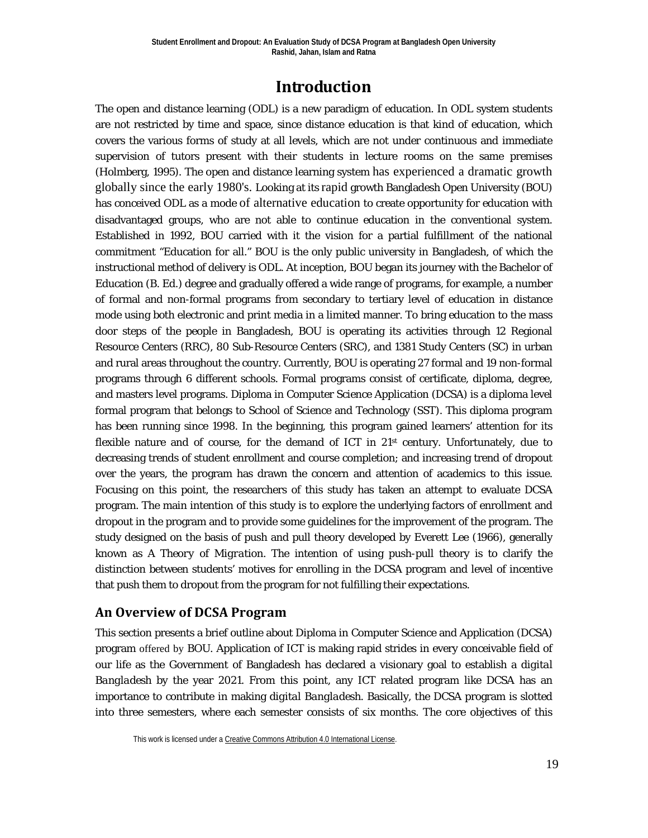# **Introduction**

The open and distance learning (ODL) is a new paradigm of education. In ODL system students are not restricted by time and space, since distance education is that kind of education, which covers the various forms of study at all levels, which are not under continuous and immediate supervision of tutors present with their students in lecture rooms on the same premises (Holmberg, 1995). The open and distance learning system has experienced a dramatic growth globally since the early 1980's. Looking at its rapid growth Bangladesh Open University (BOU) has conceived ODL as a mode of alternative education to create opportunity for education with disadvantaged groups, who are not able to continue education in the conventional system. Established in 1992, BOU carried with it the vision for a partial fulfillment of the national commitment "Education for all." BOU is the only public university in Bangladesh, of which the instructional method of delivery is ODL. At inception, BOU began its journey with the Bachelor of Education (B. Ed.) degree and gradually offered a wide range of programs, for example, a number of formal and non-formal programs from secondary to tertiary level of education in distance mode using both electronic and print media in a limited manner. To bring education to the mass door steps of the people in Bangladesh, BOU is operating its activities through 12 Regional Resource Centers (RRC), 80 Sub-Resource Centers (SRC), and 1381 Study Centers (SC) in urban and rural areas throughout the country. Currently, BOU is operating 27 formal and 19 non-formal programs through 6 different schools. Formal programs consist of certificate, diploma, degree, and masters level programs. Diploma in Computer Science Application (DCSA) is a diploma level formal program that belongs to School of Science and Technology (SST). This diploma program has been running since 1998. In the beginning, this program gained learners' attention for its flexible nature and of course, for the demand of ICT in  $21<sup>st</sup>$  century. Unfortunately, due to decreasing trends of student enrollment and course completion; and increasing trend of dropout over the years, the program has drawn the concern and attention of academics to this issue. Focusing on this point, the researchers of this study has taken an attempt to evaluate DCSA program. The main intention of this study is to explore the underlying factors of enrollment and dropout in the program and to provide some guidelines for the improvement of the program. The study designed on the basis of push and pull theory developed by Everett Lee (1966), generally known as *A Theory of Migration*. The intention of using push-pull theory is to clarify the distinction between students' motives for enrolling in the DCSA program and level of incentive that push them to dropout from the program for not fulfilling their expectations.

#### **An Overview of DCSA Program**

This section presents a brief outline about Diploma in Computer Science and Application (DCSA) program offered by BOU. Application of ICT is making rapid strides in every conceivable field of our life as the Government of Bangladesh has declared a visionary goal to establish a *digital Bangladesh* by the year 2021. From this point, any ICT related program like DCSA has an importance to contribute in making *digital Bangladesh*. Basically, the DCSA program is slotted into three semesters, where each semester consists of six months. The core objectives of this

This work is licensed under [a Creative Commons Attribution 4.0 International License.](http://creativecommons.org/licenses/by/4.0/)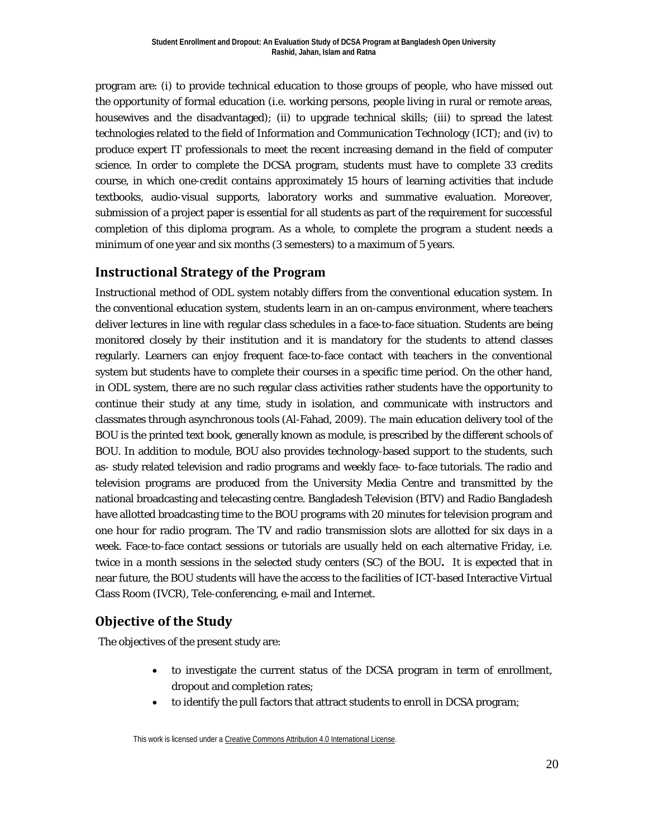program are: (i) to provide technical education to those groups of people, who have missed out the opportunity of formal education (i.e. working persons, people living in rural or remote areas, housewives and the disadvantaged); (ii) to upgrade technical skills; (iii) to spread the latest technologies related to the field of Information and Communication Technology (ICT); and (iv) to produce expert IT professionals to meet the recent increasing demand in the field of computer science. In order to complete the DCSA program, students must have to complete 33 credits course, in which one-credit contains approximately 15 hours of learning activities that include textbooks, audio-visual supports, laboratory works and summative evaluation. Moreover, submission of a project paper is essential for all students as part of the requirement for successful completion of this diploma program. As a whole, to complete the program a student needs a minimum of one year and six months (3 semesters) to a maximum of 5 years.

### **Instructional Strategy of the Program**

Instructional method of ODL system notably differs from the conventional education system. In the conventional education system, students learn in an on-campus environment, where teachers deliver lectures in line with regular class schedules in a face-to-face situation. Students are being monitored closely by their institution and it is mandatory for the students to attend classes regularly. Learners can enjoy frequent face-to-face contact with teachers in the conventional system but students have to complete their courses in a specific time period. On the other hand, in ODL system, there are no such regular class activities rather students have the opportunity to continue their study at any time, study in isolation, and communicate with instructors and classmates through asynchronous tools (Al-Fahad, 2009). The main education delivery tool of the BOU is the printed text book, generally known as module, is prescribed by the different schools of BOU. In addition to module, BOU also provides technology-based support to the students, such as- study related television and radio programs and weekly face- to-face tutorials. The radio and television programs are produced from the University Media Centre and transmitted by the national broadcasting and telecasting centre. Bangladesh Television (BTV) and Radio Bangladesh have allotted broadcasting time to the BOU programs with 20 minutes for television program and one hour for radio program. The TV and radio transmission slots are allotted for six days in a week. Face-to-face contact sessions or tutorials are usually held on each alternative Friday, i.e. twice in a month sessions in the selected study centers (SC) of the BOU**.** It is expected that in near future, the BOU students will have the access to the facilities of ICT-based Interactive Virtual Class Room (IVCR), Tele-conferencing, e-mail and Internet.

### **Objective of the Study**

The objectives of the present study are:

- to investigate the current status of the DCSA program in term of enrollment, dropout and completion rates;
- to identify the pull factors that attract students to enroll in DCSA program;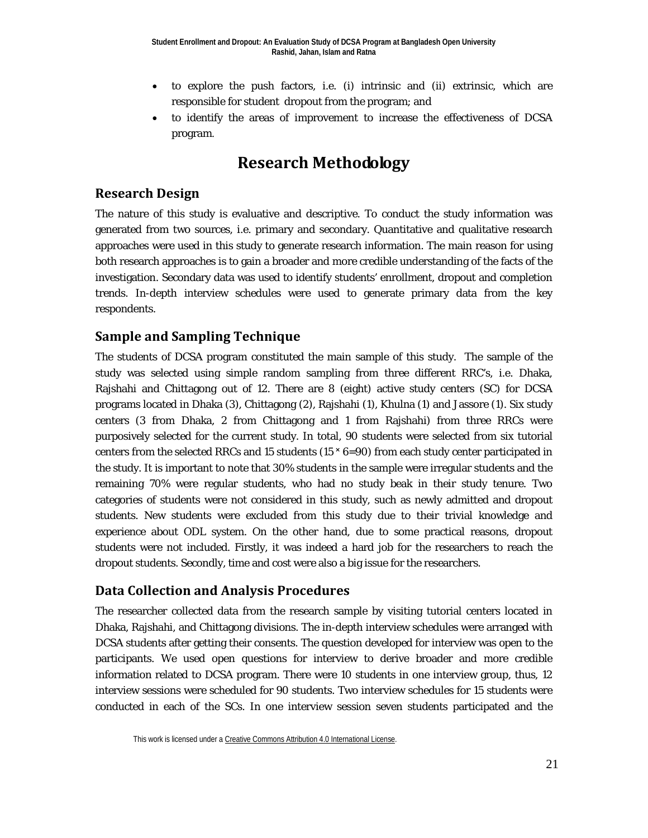- to explore the push factors, i.e. (i) intrinsic and (ii) extrinsic, which are responsible for student dropout from the program; and
- to identify the areas of improvement to increase the effectiveness of DCSA program.

# **Research Methodology**

#### **Research Design**

The nature of this study is evaluative and descriptive. To conduct the study information was generated from two sources, i.e. primary and secondary. Quantitative and qualitative research approaches were used in this study to generate research information. The main reason for using both research approaches is to gain a broader and more credible understanding of the facts of the investigation. Secondary data was used to identify students' enrollment, dropout and completion trends. In-depth interview schedules were used to generate primary data from the key respondents.

### **Sample and Sampling Technique**

The students of DCSA program constituted the main sample of this study. The sample of the study was selected using simple random sampling from three different RRC's, i.e. Dhaka, Rajshahi and Chittagong out of 12. There are 8 (eight) active study centers (SC) for DCSA programs located in Dhaka (3), Chittagong (2), Rajshahi (1), Khulna (1) and Jassore (1). Six study centers (3 from Dhaka, 2 from Chittagong and 1 from Rajshahi) from three RRCs were purposively selected for the current study. In total, 90 students were selected from six tutorial centers from the selected RRCs and 15 students  $(15 * 6 = 90)$  from each study center participated in the study. It is important to note that 30% students in the sample were irregular students and the remaining 70% were regular students, who had no study beak in their study tenure. Two categories of students were not considered in this study, such as newly admitted and dropout students. New students were excluded from this study due to their trivial knowledge and experience about ODL system. On the other hand, due to some practical reasons, dropout students were not included. Firstly, it was indeed a hard job for the researchers to reach the dropout students. Secondly, time and cost were also a big issue for the researchers.

### **Data Collection and Analysis Procedures**

The researcher collected data from the research sample by visiting tutorial centers located in Dhaka, Rajshahi, and Chittagong divisions. The in-depth interview schedules were arranged with DCSA students after getting their consents. The question developed for interview was open to the participants. We used open questions for interview to derive broader and more credible information related to DCSA program. There were 10 students in one interview group, thus, 12 interview sessions were scheduled for 90 students. Two interview schedules for 15 students were conducted in each of the SCs. In one interview session seven students participated and the

This work is licensed under [a Creative Commons Attribution 4.0 International License.](http://creativecommons.org/licenses/by/4.0/)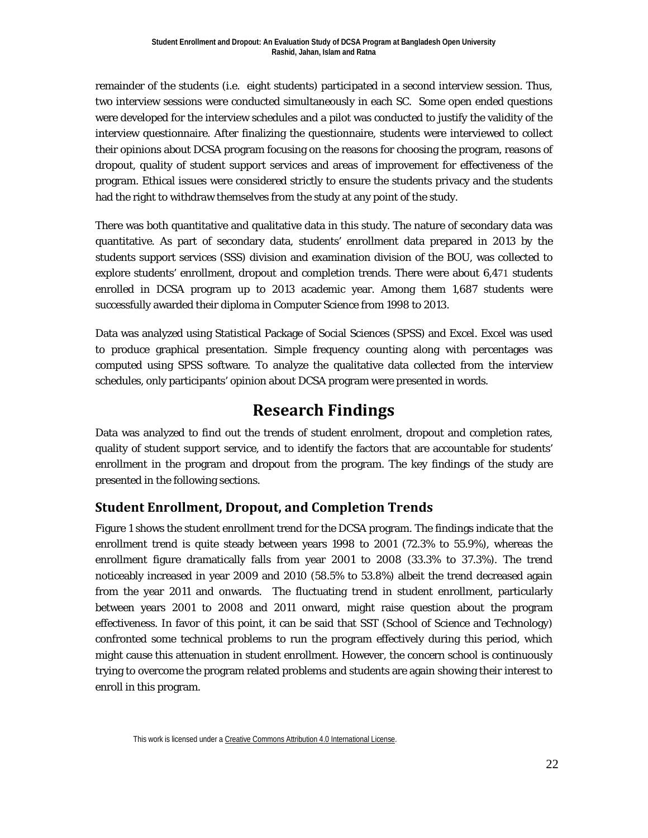remainder of the students (i.e. eight students) participated in a second interview session. Thus, two interview sessions were conducted simultaneously in each SC. Some open ended questions were developed for the interview schedules and a pilot was conducted to justify the validity of the interview questionnaire. After finalizing the questionnaire, students were interviewed to collect their opinions about DCSA program focusing on the reasons for choosing the program, reasons of dropout, quality of student support services and areas of improvement for effectiveness of the program. Ethical issues were considered strictly to ensure the students privacy and the students had the right to withdraw themselves from the study at any point of the study.

There was both quantitative and qualitative data in this study. The nature of secondary data was quantitative. As part of secondary data, students' enrollment data prepared in 2013 by the students support services (SSS) division and examination division of the BOU, was collected to explore students' enrollment, dropout and completion trends. There were about 6,471 students enrolled in DCSA program up to 2013 academic year. Among them 1,687 students were successfully awarded their diploma in Computer Science from 1998 to 2013.

Data was analyzed using Statistical Package of Social Sciences (SPSS) and Excel. Excel was used to produce graphical presentation. Simple frequency counting along with percentages was computed using SPSS software. To analyze the qualitative data collected from the interview schedules, only participants' opinion about DCSA program were presented in words.

# **Research Findings**

Data was analyzed to find out the trends of student enrolment, dropout and completion rates, quality of student support service, and to identify the factors that are accountable for students' enrollment in the program and dropout from the program. The key findings of the study are presented in the following sections.

## **Student Enrollment, Dropout, and Completion Trends**

Figure 1 shows the student enrollment trend for the DCSA program. The findings indicate that the enrollment trend is quite steady between years 1998 to 2001 (72.3% to 55.9%), whereas the enrollment figure dramatically falls from year 2001 to 2008 (33.3% to 37.3%). The trend noticeably increased in year 2009 and 2010 (58.5% to 53.8%) albeit the trend decreased again from the year 2011 and onwards. The fluctuating trend in student enrollment, particularly between years 2001 to 2008 and 2011 onward, might raise question about the program effectiveness. In favor of this point, it can be said that SST (School of Science and Technology) confronted some technical problems to run the program effectively during this period, which might cause this attenuation in student enrollment. However, the concern school is continuously trying to overcome the program related problems and students are again showing their interest to enroll in this program.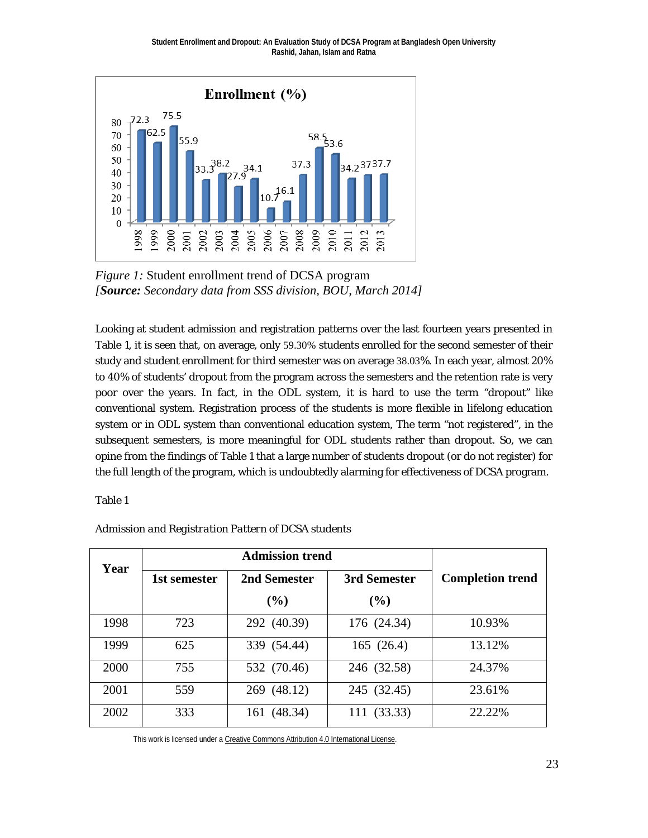

*Figure 1:* Student enrollment trend of DCSA program *[Source: Secondary data from SSS division, BOU, March 2014]*

Looking at student admission and registration patterns over the last fourteen years presented in Table 1, it is seen that, on average, only 59.30% students enrolled for the second semester of their study and student enrollment for third semester was on average 38.03%. In each year, almost 20% to 40% of students' dropout from the program across the semesters and the retention rate is very poor over the years. In fact, in the ODL system, it is hard to use the term "dropout" like conventional system. Registration process of the students is more flexible in lifelong education system or in ODL system than conventional education system, The term "not registered", in the subsequent semesters, is more meaningful for ODL students rather than dropout. So, we can opine from the findings of Table 1 that a large number of students dropout (or do not register) for the full length of the program, which is undoubtedly alarming for effectiveness of DCSA program.

Table 1

|      | <b>Admission trend</b> |              |              |                         |
|------|------------------------|--------------|--------------|-------------------------|
| Year | 1st semester           | 2nd Semester | 3rd Semester | <b>Completion trend</b> |
|      |                        | (%)          | $(\%)$       |                         |
| 1998 | 723                    | 292 (40.39)  | 176 (24.34)  | 10.93%                  |
| 1999 | 625                    | 339 (54.44)  | 165(26.4)    | 13.12%                  |
| 2000 | 755                    | 532 (70.46)  | 246 (32.58)  | 24.37%                  |
| 2001 | 559                    | 269 (48.12)  | 245 (32.45)  | 23.61%                  |
| 2002 | 333                    | 161 (48.34)  | 111 (33.33)  | 22.22%                  |

*Admission and Registration Pattern of DCSA students*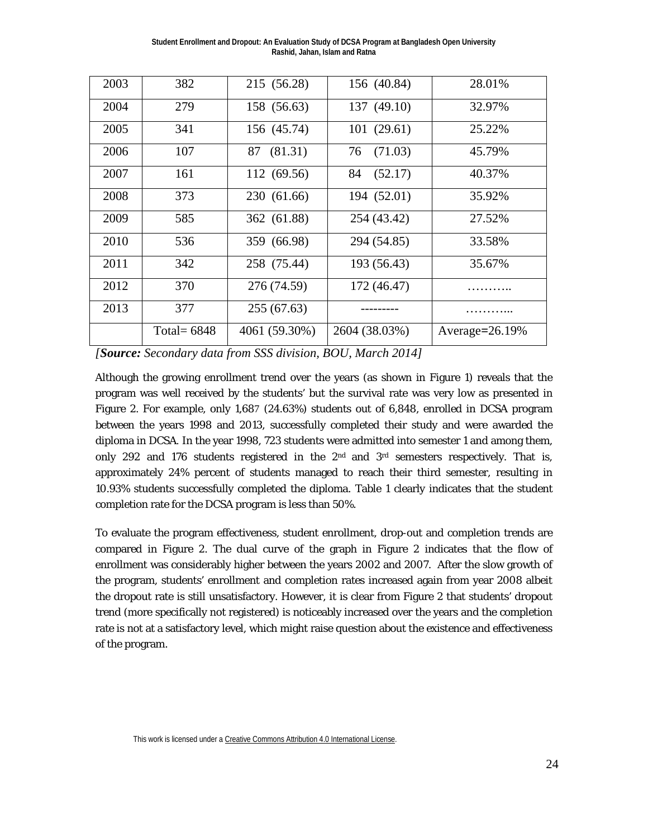**Student Enrollment and Dropout: An Evaluation Study of DCSA Program at Bangladesh Open University Rashid, Jahan, Islam and Ratna**

| 2003 | 382           | 215 (56.28)   | 156 (40.84)   | 28.01%         |
|------|---------------|---------------|---------------|----------------|
| 2004 | 279           | 158 (56.63)   | 137 (49.10)   | 32.97%         |
| 2005 | 341           | 156 (45.74)   | 101(29.61)    | 25.22%         |
| 2006 | 107           | 87 (81.31)    | 76 (71.03)    | 45.79%         |
| 2007 | 161           | 112 (69.56)   | 84<br>(52.17) | 40.37%         |
| 2008 | 373           | 230 (61.66)   | 194 (52.01)   | 35.92%         |
| 2009 | 585           | 362 (61.88)   | 254 (43.42)   | 27.52%         |
| 2010 | 536           | 359 (66.98)   | 294 (54.85)   | 33.58%         |
| 2011 | 342           | 258 (75.44)   | 193 (56.43)   | 35.67%         |
| 2012 | 370           | 276 (74.59)   | 172 (46.47)   |                |
| 2013 | 377           | 255 (67.63)   |               |                |
|      | Total= $6848$ | 4061 (59.30%) | 2604 (38.03%) | Average=26.19% |

*[Source: Secondary data from SSS division, BOU, March 2014]*

Although the growing enrollment trend over the years (as shown in Figure 1) reveals that the program was well received by the students' but the survival rate was very low as presented in Figure 2. For example, only 1,687 (24.63%) students out of 6,848, enrolled in DCSA program between the years 1998 and 2013, successfully completed their study and were awarded the diploma in DCSA. In the year 1998, 723 students were admitted into semester 1 and among them, only 292 and 176 students registered in the  $2<sup>nd</sup>$  and  $3<sup>rd</sup>$  semesters respectively. That is, approximately 24% percent of students managed to reach their third semester, resulting in 10.93% students successfully completed the diploma. Table 1 clearly indicates that the student completion rate for the DCSA program is less than 50%.

To evaluate the program effectiveness, student enrollment, drop-out and completion trends are compared in Figure 2. The dual curve of the graph in Figure 2 indicates that the flow of enrollment was considerably higher between the years 2002 and 2007. After the slow growth of the program, students' enrollment and completion rates increased again from year 2008 albeit the dropout rate is still unsatisfactory. However, it is clear from Figure 2 that students' dropout trend (more specifically not registered) is noticeably increased over the years and the completion rate is not at a satisfactory level, which might raise question about the existence and effectiveness of the program.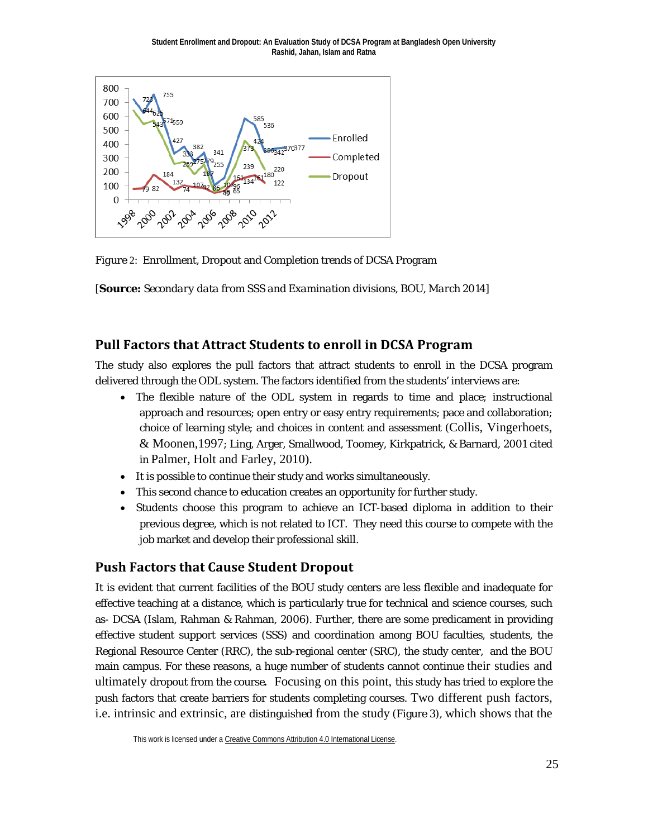

*Figure* 2:Enrollment, Dropout and Completion trends of DCSA Program

*[Source: Secondary data from SSS and Examination divisions, BOU, March 2014]*

### **Pull Factors that Attract Students to enroll in DCSA Program**

The study also explores the pull factors that attract students to enroll in the DCSA program delivered through the ODL system. The factors identified from the students' interviews are:

- The flexible nature of the ODL system in regards to time and place; instructional approach and resources; open entry or easy entry requirements; pace and collaboration; choice of learning style; and choices in content and assessment (Collis, Vingerhoets, & Moonen,1997; Ling, Arger, Smallwood, Toomey, Kirkpatrick, & Barnard, 2001 cited in Palmer, Holt and Farley, 2010).
- It is possible to continue their study and works simultaneously.
- This second chance to education creates an opportunity for further study.
- Students choose this program to achieve an ICT-based diploma in addition to their previous degree, which is not related to ICT. They need this course to compete with the job market and develop their professional skill.

### **Push Factors that Cause Student Dropout**

It is evident that current facilities of the BOU study centers are less flexible and inadequate for effective teaching at a distance, which is particularly true for technical and science courses, such as- DCSA (Islam, Rahman & Rahman, 2006). Further, there are some predicament in providing effective student support services (SSS) and coordination among BOU faculties, students, the Regional Resource Center (RRC), the sub-regional center (SRC), the study center, and the BOU main campus. For these reasons, a huge number of students cannot continue their studies and ultimately dropout from the course*.* Focusing on this point, this study has tried to explore the push factors that create barriers for students completing courses. Two different push factors, i.e. intrinsic and extrinsic, are distinguished from the study (Figure 3), which shows that the

This work is licensed under [a Creative Commons Attribution 4.0 International License.](http://creativecommons.org/licenses/by/4.0/)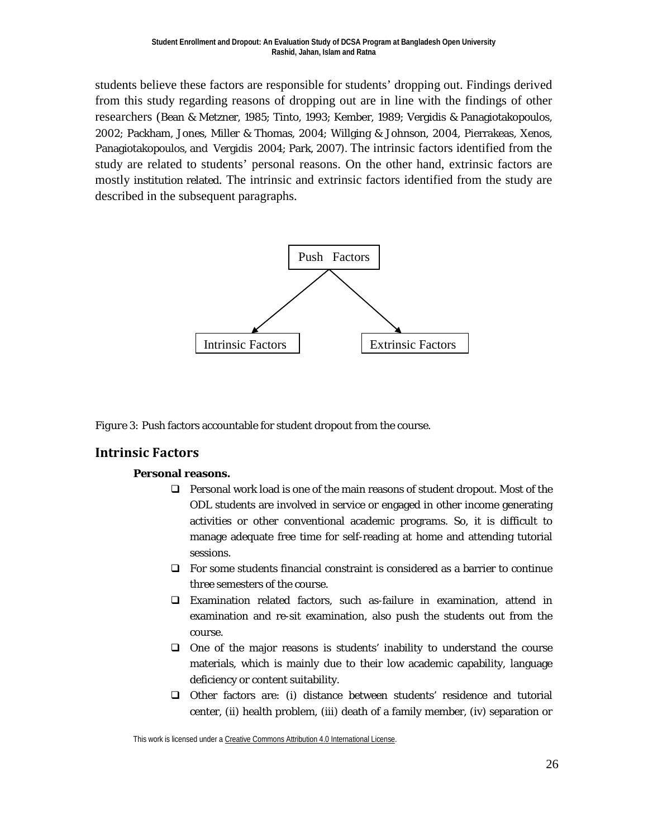students believe these factors are responsible for students' dropping out. Findings derived from this study regarding reasons of dropping out are in line with the findings of other researchers (Bean & Metzner, 1985; Tinto, 1993; Kember, 1989; Vergidis & Panagiotakopoulos, 2002; Packham, Jones, Miller & Thomas, 2004; Willging & Johnson, 2004, Pierrakeas, Xenos, Panagiotakopoulos, and Vergidis 2004; Park, 2007). The intrinsic factors identified from the study are related to students' personal reasons. On the other hand, extrinsic factors are mostly institution related. The intrinsic and extrinsic factors identified from the study are described in the subsequent paragraphs.



*Figure 3:* Push factors accountable for student dropout from the course.

#### **Intrinsic Factors**

#### **Personal reasons.**

- $\Box$  Personal work load is one of the main reasons of student dropout. Most of the ODL students are involved in service or engaged in other income generating activities or other conventional academic programs. So, it is difficult to manage adequate free time for self-reading at home and attending tutorial sessions.
- $\Box$  For some students financial constraint is considered as a barrier to continue three semesters of the course.
- Examination related factors, such as-failure in examination, attend in examination and re-sit examination, also push the students out from the course.
- $\Box$  One of the major reasons is students' inability to understand the course materials, which is mainly due to their low academic capability, language deficiency or content suitability.
- Other factors are: (i) distance between students' residence and tutorial center, (ii) health problem, (iii) death of a family member, (iv) separation or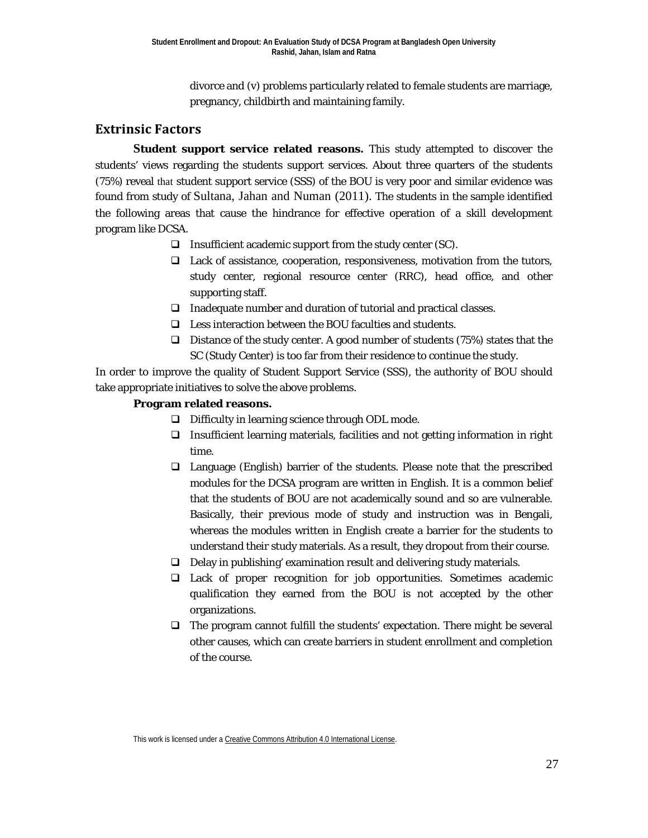divorce and (v) problems particularly related to female students are marriage, pregnancy, childbirth and maintaining family.

#### **Extrinsic Factors**

**Student support service related reasons.** This study attempted to discover the students' views regarding the students support services. About three quarters of the students (75%) reveal that student support service (SSS) of the BOU is very poor and similar evidence was found from study of Sultana, Jahan and Numan (2011). The students in the sample identified the following areas that cause the hindrance for effective operation of a skill development program like DCSA.

- $\Box$  Insufficient academic support from the study center (SC).
- $\Box$  Lack of assistance, cooperation, responsiveness, motivation from the tutors, study center, regional resource center (RRC), head office, and other supporting staff.
- $\Box$  Inadequate number and duration of tutorial and practical classes.
- $\Box$  Less interaction between the BOU faculties and students.
- $\Box$  Distance of the study center. A good number of students (75%) states that the SC (Study Center) is too far from their residence to continue the study.

In order to improve the quality of Student Support Service (SSS), the authority of BOU should take appropriate initiatives to solve the above problems.

#### **Program related reasons.**

- □ Difficulty in learning science through ODL mode.
- $\Box$  Insufficient learning materials, facilities and not getting information in right time.
- $\Box$  Language (English) barrier of the students. Please note that the prescribed modules for the DCSA program are written in English. It is a common belief that the students of BOU are not academically sound and so are vulnerable. Basically, their previous mode of study and instruction was in Bengali, whereas the modules written in English create a barrier for the students to understand their study materials. As a result, they dropout from their course.
- $\Box$  Delay in publishing' examination result and delivering study materials.
- $\Box$  Lack of proper recognition for job opportunities. Sometimes academic qualification they earned from the BOU is not accepted by the other organizations.
- $\Box$  The program cannot fulfill the students' expectation. There might be several other causes, which can create barriers in student enrollment and completion of the course.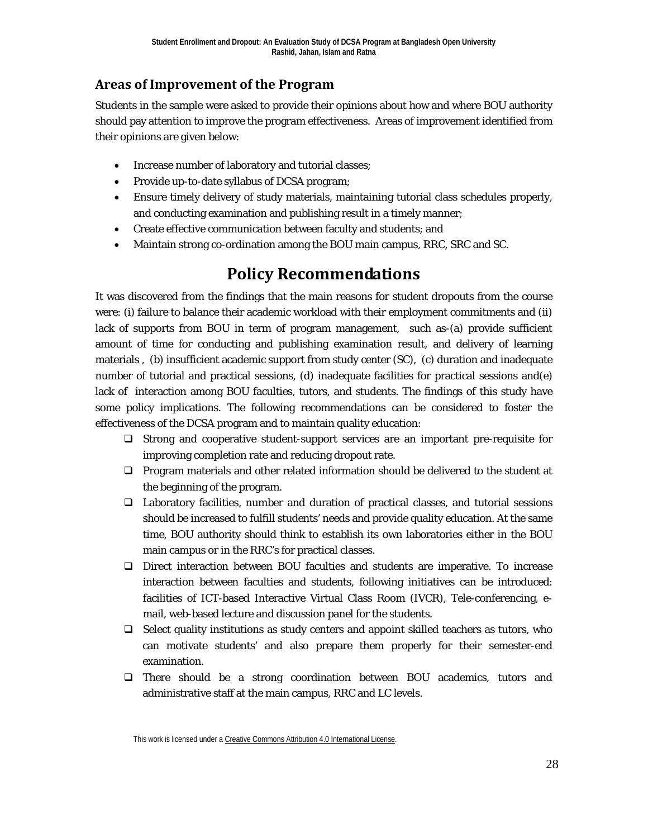### **Areas of Improvement of the Program**

Students in the sample were asked to provide their opinions about how and where BOU authority should pay attention to improve the program effectiveness. Areas of improvement identified from their opinions are given below:

- Increase number of laboratory and tutorial classes;
- Provide up-to-date syllabus of DCSA program;
- Ensure timely delivery of study materials, maintaining tutorial class schedules properly, and conducting examination and publishing result in a timely manner;
- Create effective communication between faculty and students; and
- Maintain strong co-ordination among the BOU main campus, RRC, SRC and SC.

# **Policy Recommendations**

It was discovered from the findings that the main reasons for student dropouts from the course were: (i) failure to balance their academic workload with their employment commitments and (ii) lack of supports from BOU in term of program management, such as-(a) provide sufficient amount of time for conducting and publishing examination result, and delivery of learning materials , (b) insufficient academic support from study center (SC), (c) duration and inadequate number of tutorial and practical sessions, (d) inadequate facilities for practical sessions and(e) lack of interaction among BOU faculties, tutors, and students. The findings of this study have some policy implications. The following recommendations can be considered to foster the effectiveness of the DCSA program and to maintain quality education:

- $\Box$  Strong and cooperative student-support services are an important pre-requisite for improving completion rate and reducing dropout rate.
- $\Box$  Program materials and other related information should be delivered to the student at the beginning of the program.
- $\Box$  Laboratory facilities, number and duration of practical classes, and tutorial sessions should be increased to fulfill students' needs and provide quality education. At the same time, BOU authority should think to establish its own laboratories either in the BOU main campus or in the RRC's for practical classes.
- Direct interaction between BOU faculties and students are imperative. To increase interaction between faculties and students, following initiatives can be introduced: facilities of ICT-based Interactive Virtual Class Room (IVCR), Tele-conferencing, email, web-based lecture and discussion panel for the students.
- $\Box$  Select quality institutions as study centers and appoint skilled teachers as tutors, who can motivate students' and also prepare them properly for their semester-end examination.
- There should be a strong coordination between BOU academics, tutors and administrative staff at the main campus, RRC and LC levels.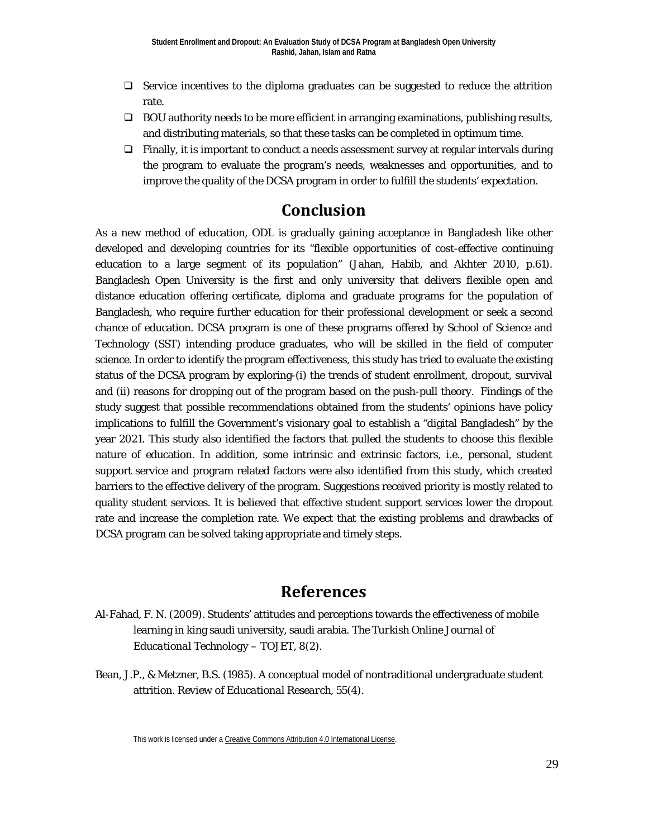- $\Box$  Service incentives to the diploma graduates can be suggested to reduce the attrition rate.
- $\Box$  BOU authority needs to be more efficient in arranging examinations, publishing results, and distributing materials, so that these tasks can be completed in optimum time.
- $\Box$  Finally, it is important to conduct a needs assessment survey at regular intervals during the program to evaluate the program's needs, weaknesses and opportunities, and to improve the quality of the DCSA program in order to fulfill the students' expectation.

# **Conclusion**

As a new method of education, ODL is gradually gaining acceptance in Bangladesh like other developed and developing countries for its "flexible opportunities of cost-effective continuing education to a large segment of its population" (Jahan, Habib, and Akhter 2010, p.61). Bangladesh Open University is the first and only university that delivers flexible open and distance education offering certificate, diploma and graduate programs for the population of Bangladesh, who require further education for their professional development or seek a second chance of education. DCSA program is one of these programs offered by School of Science and Technology (SST) intending produce graduates, who will be skilled in the field of computer science. In order to identify the program effectiveness, this study has tried to evaluate the existing status of the DCSA program by exploring-(i) the trends of student enrollment, dropout, survival and (ii) reasons for dropping out of the program based on the push-pull theory. Findings of the study suggest that possible recommendations obtained from the students' opinions have policy implications to fulfill the Government's visionary goal to establish a "digital Bangladesh" by the year 2021. This study also identified the factors that pulled the students to choose this flexible nature of education. In addition, some intrinsic and extrinsic factors, i.e., personal, student support service and program related factors were also identified from this study, which created barriers to the effective delivery of the program. Suggestions received priority is mostly related to quality student services. It is believed that effective student support services lower the dropout rate and increase the completion rate. We expect that the existing problems and drawbacks of DCSA program can be solved taking appropriate and timely steps.

# **References**

- Al-Fahad, F. N. (2009*)*. Students' attitudes and perceptions towards the effectiveness of mobile learning in king saudi university, saudi arabia*. The Turkish Online Journal of Educational Technology – TOJET*, *8*(2).
- Bean, J.P., & Metzner, B.S. (1985). A conceptual model of nontraditional undergraduate student attrition. *Review of Educational Research, 55*(4).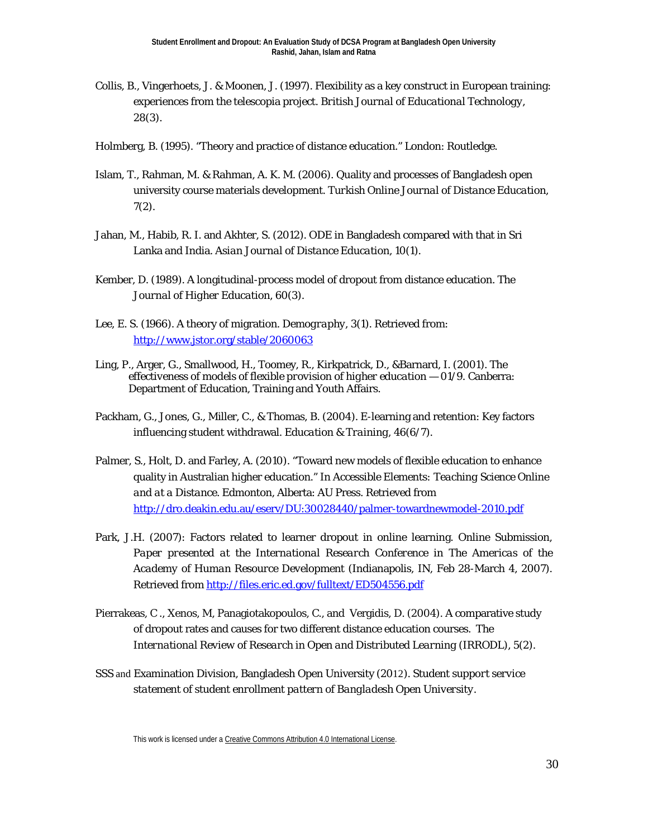- Collis, B., Vingerhoets, J. & Moonen, J. (1997). Flexibility as a key construct in European training: experiences from the telescopia project. *British Journal of Educational Technology*, *28*(3).
- Holmberg, B. (1995). "Theory and practice of distance education." London: Routledge.
- Islam, T., Rahman, M. & Rahman, A. K. M. (2006). Quality and processes of Bangladesh open university course materials development. *Turkish Online Journal of Distance Education, 7*(2).
- Jahan, M., Habib, R. I. and Akhter, S. (2012). ODE in Bangladesh compared with that in Sri Lanka and India. *Asian Journal of Distance Education*, *10*(1).
- Kember, D. (1989). A longitudinal-process model of dropout from distance education*. The Journal of Higher Education,* 60(3).
- Lee, E. S. (1966). A theory of migration. *Demography*, *3*(1). Retrieved from: <http://www.jstor.org/stable/2060063>
- Ling, P., Arger, G., Smallwood, H., Toomey, R., Kirkpatrick, D., &Barnard, I. (2001). *The effectiveness of models of flexible provision of higher education — 01/9*. Canberra: Department of Education, Training and Youth Affairs.
- Packham, G., Jones, G., Miller, C., & Thomas, B. (2004). E-learning and retention: Key factors influencing student withdrawal. *Education & Training, 46*(6/7).
- Palmer, S., Holt, D. and Farley, A. (2010). "Toward new models of flexible education to enhance quality in Australian higher education." In *Accessible Elements: Teaching Science Online and at a Distance*. Edmonton, Alberta: AU Press. Retrieved from <http://dro.deakin.edu.au/eserv/DU:30028440/palmer-towardnewmodel-2010.pdf>
- Park, J.H. (2007): Factors related to learner dropout in online learning. Online Submission, *Paper presented at the International Research Conference in The Americas of the Academy of Human Resource Development* (Indianapolis, IN, Feb 28-March 4, 2007). Retrieved from <http://files.eric.ed.gov/fulltext/ED504556.pdf>
- Pierrakeas, C ., Xenos, M, Panagiotakopoulos, C., and Vergidis, D. (2004). A comparative study of dropout rates and causes for two different distance education courses. *The International Review of Research in Open and Distributed Learning (IRRODL)*, *5*(2).
- SSS and Examination Division, Bangladesh Open University (2012). *Student support service statement of student enrollment pattern of Bangladesh Open University*.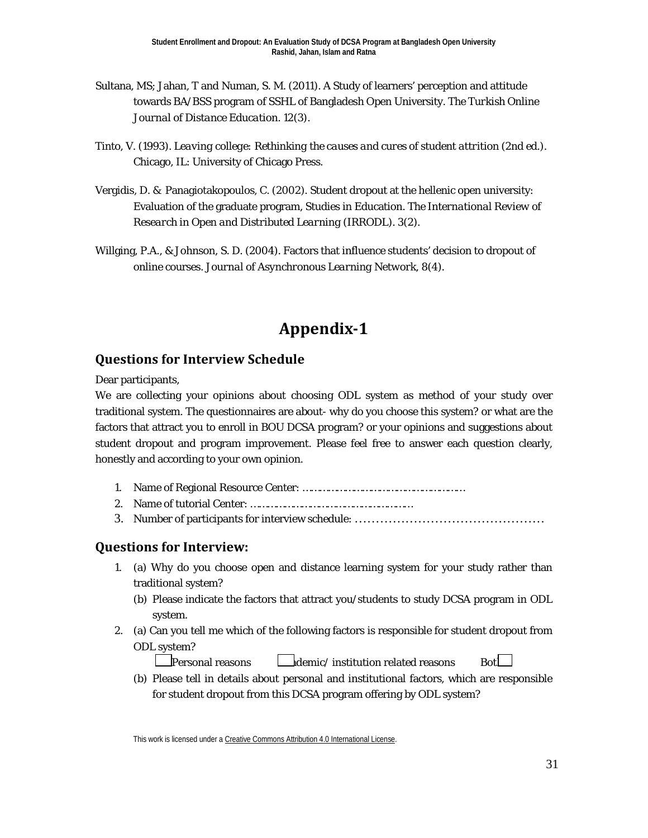- Sultana, MS; Jahan, T and Numan, S. M. (2011). A Study of learners' perception and attitude towards BA/BSS program of SSHL of Bangladesh Open University. *The Turkish Online Journal of Distance Education. 12*(3).
- Tinto, V. (1993). *Leaving college: Rethinking the causes and cures of student attrition (2nd ed.).* Chicago, IL: University of Chicago Press.
- Vergidis, D. & Panagiotakopoulos, C. (2002). Student dropout at the hellenic open university: Evaluation of the graduate program, Studies in Education*. The International Review of Research in Open and Distributed Learning (IRRODL)*. *3*(2).
- Willging, P.A., & Johnson, S. D. (2004). Factors that influence students' decision to dropout of online courses. *Journal of Asynchronous Learning Network, 8*(4).

# **Appendix-1**

#### **Questions for Interview Schedule**

Dear participants,

We are collecting your opinions about choosing ODL system as method of your study over traditional system. The questionnaires are about- why do you choose this system? or what are the factors that attract you to enroll in BOU DCSA program? or your opinions and suggestions about student dropout and program improvement. Please feel free to answer each question clearly, honestly and according to your own opinion.

- 1. Name of Regional Resource Center: …………………………………………………
- 2. Name of tutorial Center: …………………………………………………
- 3. Number of participants for interview schedule: ………………………………………

#### **Questions for Interview:**

- 1. (a) Why do you choose open and distance learning system for your study rather than traditional system?
	- *(b)* Please indicate the factors that attract you/students to study DCSA program in ODL system.
- 2. (a) Can you tell me which of the following factors is responsible for student dropout from ODL system?

**Personal reasons**  $\Box$  demic/ institution related reasons Bot $\Box$ 

(b) Please tell in details about personal and institutional factors, which are responsible for student dropout from this DCSA program offering by ODL system?